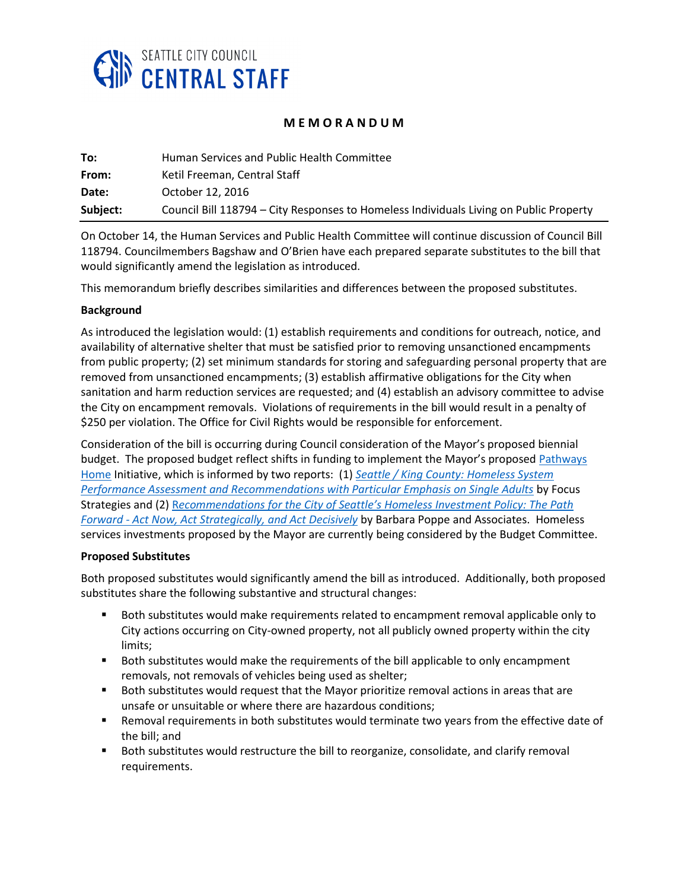

## **M E M O R A N D U M**

| To:      | Human Services and Public Health Committee                                             |
|----------|----------------------------------------------------------------------------------------|
| From:    | Ketil Freeman, Central Staff                                                           |
| Date:    | October 12, 2016                                                                       |
| Subject: | Council Bill 118794 – City Responses to Homeless Individuals Living on Public Property |

On October 14, the Human Services and Public Health Committee will continue discussion of Council Bill 118794. Councilmembers Bagshaw and O'Brien have each prepared separate substitutes to the bill that would significantly amend the legislation as introduced.

This memorandum briefly describes similarities and differences between the proposed substitutes.

## **Background**

As introduced the legislation would: (1) establish requirements and conditions for outreach, notice, and availability of alternative shelter that must be satisfied prior to removing unsanctioned encampments from public property; (2) set minimum standards for storing and safeguarding personal property that are removed from unsanctioned encampments; (3) establish affirmative obligations for the City when sanitation and harm reduction services are requested; and (4) establish an advisory committee to advise the City on encampment removals. Violations of requirements in the bill would result in a penalty of \$250 per violation. The Office for Civil Rights would be responsible for enforcement.

Consideration of the bill is occurring during Council consideration of the Mayor's proposed biennial budget. The proposed budget reflect shifts in funding to implement the Mayor's proposed Pathways [Home](http://www.seattle.gov/Documents/Departments/pathwayshome/ActionPlan.pdf) Initiative, which is informed by two reports: (1) *[Seattle / King County: Homeless System](http://www.seattle.gov/Documents/Departments/pathwayshome/FS.pdf)  [Performance Assessment and Recommendations with Particular Emphasis on Single Adults](http://www.seattle.gov/Documents/Departments/pathwayshome/FS.pdf)* by Focus Strategies and (2) R*[ecommendations for the City of Seattle's Homeless Investment Policy: The Path](http://www.seattle.gov/Documents/Departments/pathwayshome/BPA.pdf)  Forward - [Act Now, Act Strategically, and Act Decisively](http://www.seattle.gov/Documents/Departments/pathwayshome/BPA.pdf)* by Barbara Poppe and Associates. Homeless services investments proposed by the Mayor are currently being considered by the Budget Committee.

## **Proposed Substitutes**

Both proposed substitutes would significantly amend the bill as introduced. Additionally, both proposed substitutes share the following substantive and structural changes:

- Both substitutes would make requirements related to encampment removal applicable only to City actions occurring on City-owned property, not all publicly owned property within the city limits;
- **Both substitutes would make the requirements of the bill applicable to only encampment** removals, not removals of vehicles being used as shelter;
- Both substitutes would request that the Mayor prioritize removal actions in areas that are unsafe or unsuitable or where there are hazardous conditions;
- Removal requirements in both substitutes would terminate two years from the effective date of the bill; and
- Both substitutes would restructure the bill to reorganize, consolidate, and clarify removal requirements.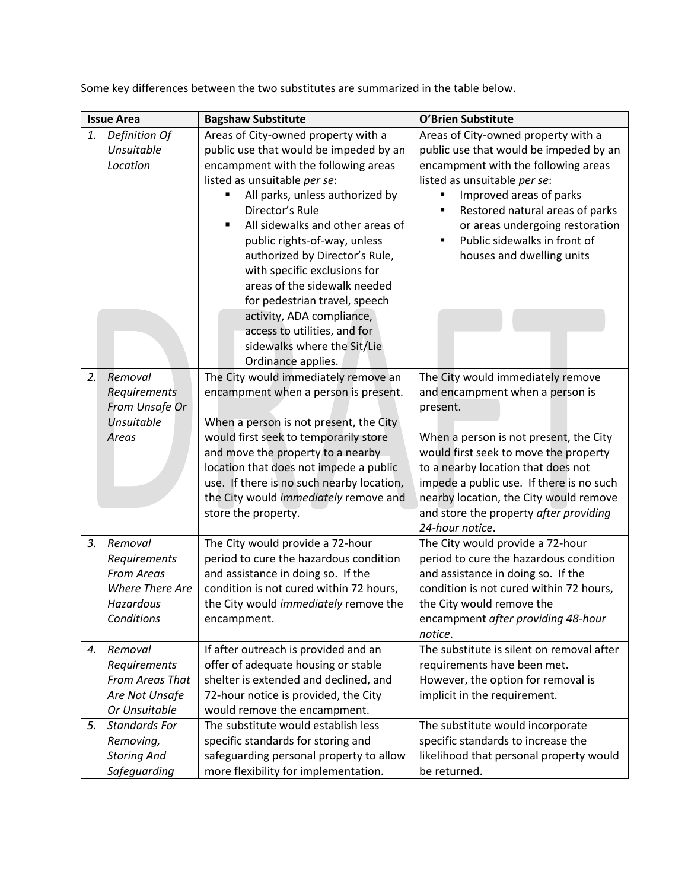| <b>Issue Area</b> |                                                                                                   | <b>Bagshaw Substitute</b>                                                                                                                                                                                                                                                                                                                                                                                                                                        | O'Brien Substitute                                                                                                                                                                                                                                                                                                                                           |
|-------------------|---------------------------------------------------------------------------------------------------|------------------------------------------------------------------------------------------------------------------------------------------------------------------------------------------------------------------------------------------------------------------------------------------------------------------------------------------------------------------------------------------------------------------------------------------------------------------|--------------------------------------------------------------------------------------------------------------------------------------------------------------------------------------------------------------------------------------------------------------------------------------------------------------------------------------------------------------|
| 1.                | Definition Of<br>Unsuitable<br>Location                                                           | Areas of City-owned property with a<br>public use that would be impeded by an<br>encampment with the following areas<br>listed as unsuitable per se:<br>All parks, unless authorized by<br>Director's Rule<br>All sidewalks and other areas of<br>$\blacksquare$<br>public rights-of-way, unless<br>authorized by Director's Rule,<br>with specific exclusions for<br>areas of the sidewalk needed<br>for pedestrian travel, speech<br>activity, ADA compliance, | Areas of City-owned property with a<br>public use that would be impeded by an<br>encampment with the following areas<br>listed as unsuitable per se:<br>Improved areas of parks<br>Restored natural areas of parks<br>$\blacksquare$<br>or areas undergoing restoration<br>Public sidewalks in front of<br>٠<br>houses and dwelling units                    |
|                   |                                                                                                   | access to utilities, and for<br>sidewalks where the Sit/Lie<br>Ordinance applies.                                                                                                                                                                                                                                                                                                                                                                                |                                                                                                                                                                                                                                                                                                                                                              |
| 2.                | Removal<br>Requirements<br>From Unsafe Or<br><b>Unsuitable</b><br>Areas                           | The City would immediately remove an<br>encampment when a person is present.<br>When a person is not present, the City<br>would first seek to temporarily store<br>and move the property to a nearby<br>location that does not impede a public<br>use. If there is no such nearby location,<br>the City would immediately remove and<br>store the property.                                                                                                      | The City would immediately remove<br>and encampment when a person is<br>present.<br>When a person is not present, the City<br>would first seek to move the property<br>to a nearby location that does not<br>impede a public use. If there is no such<br>nearby location, the City would remove<br>and store the property after providing<br>24-hour notice. |
| 3.                | Removal<br>Requirements<br><b>From Areas</b><br><b>Where There Are</b><br>Hazardous<br>Conditions | The City would provide a 72-hour<br>period to cure the hazardous condition<br>and assistance in doing so. If the<br>condition is not cured within 72 hours,<br>the City would immediately remove the<br>encampment.                                                                                                                                                                                                                                              | The City would provide a 72-hour<br>period to cure the hazardous condition<br>and assistance in doing so. If the<br>condition is not cured within 72 hours,<br>the City would remove the<br>encampment after providing 48-hour<br>notice.                                                                                                                    |
| 4.                | Removal<br>Requirements<br><b>From Areas That</b><br>Are Not Unsafe<br>Or Unsuitable              | If after outreach is provided and an<br>offer of adequate housing or stable<br>shelter is extended and declined, and<br>72-hour notice is provided, the City<br>would remove the encampment.                                                                                                                                                                                                                                                                     | The substitute is silent on removal after<br>requirements have been met.<br>However, the option for removal is<br>implicit in the requirement.                                                                                                                                                                                                               |
| 5.                | <b>Standards For</b><br>Removing,<br><b>Storing And</b><br>Safeguarding                           | The substitute would establish less<br>specific standards for storing and<br>safeguarding personal property to allow<br>more flexibility for implementation.                                                                                                                                                                                                                                                                                                     | The substitute would incorporate<br>specific standards to increase the<br>likelihood that personal property would<br>be returned.                                                                                                                                                                                                                            |

Some key differences between the two substitutes are summarized in the table below.